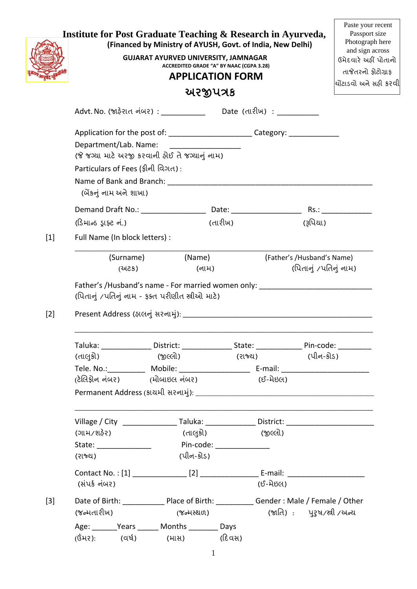|       | <b>Institute for Post Graduate Teaching &amp; Research in Ayurveda,</b>             | (Financed by Ministry of AYUSH, Govt. of India, New Delhi)<br><b>GUJARAT AYURVED UNIVERSITY, JAMNAGAR</b><br>ACCREDITED GRADE "A" BY NAAC (CGPA 3.28)<br><b>APPLICATION FORM</b> |                   |                                                     | Paste your recent<br>Passport size<br>Photograph here<br>and sign across<br>ઉમેદવારે અહીં પોતાનો<br>તાજેતરનો ફોટોગ્રાફ<br>ચોંટાડવો અને સફી કરવી |
|-------|-------------------------------------------------------------------------------------|----------------------------------------------------------------------------------------------------------------------------------------------------------------------------------|-------------------|-----------------------------------------------------|-------------------------------------------------------------------------------------------------------------------------------------------------|
|       |                                                                                     | અરજીપત્રક                                                                                                                                                                        |                   |                                                     |                                                                                                                                                 |
|       |                                                                                     | Advt. No. (જાઢેરાત નંબર) : _________________  Date(તારીખ): ____                                                                                                                  |                   |                                                     |                                                                                                                                                 |
|       | Department/Lab. Name:<br>Particulars of Fees (ફીની વિગત):<br>(બેંકનું નામ અને શાખા) | Application for the post of: ________________________Category: _________________<br>(જે જગ્યા માટે અરજી કરવાની ફોઈ તે જગ્યાનું નામ)                                              |                   |                                                     |                                                                                                                                                 |
|       |                                                                                     |                                                                                                                                                                                  |                   |                                                     |                                                                                                                                                 |
|       | (ડિમાન્ડ ડ્રાફ્ટ નં.)                                                               |                                                                                                                                                                                  | (તારીખ)           | (રૂપિયા)                                            |                                                                                                                                                 |
| $[1]$ | Full Name (In block letters) :                                                      |                                                                                                                                                                                  |                   |                                                     |                                                                                                                                                 |
|       | (સડપ્ર                                                                              | (Surname) (Name)<br>(નામ)                                                                                                                                                        |                   | (Father's /Husband's Name)<br>(પિતાનું /પતિનું નામ) |                                                                                                                                                 |
| $[2]$ |                                                                                     | (પિતાનું /પતિનું નામ - ફક્ત પરીણીત સ્રીઓ માટે)                                                                                                                                   |                   |                                                     |                                                                                                                                                 |
|       |                                                                                     | Taluka: _________________District: __________________State: __________________Pin-code: ___________                                                                              |                   |                                                     |                                                                                                                                                 |
|       | (તાલુકો)                                                                            | (જીલ્લો) પ્રાપ્ત પ્રાપ્ત પ્રાપ્ત પ્રાપ્ત પ્રાપ્ત પ્રાપ્ત પ્રાપ્ત પ્રાપ્ત પ્રાપ્ત પ્રાપ્ત પ્રાપ્ત પ્રાપ્ત પ્રાપ                                                                   | (રાજ્ય) (પીન-કોડ) |                                                     |                                                                                                                                                 |
|       |                                                                                     | Tele. No.: _____________ Mobile: ___________________________ E-mail: ______________________________                                                                              |                   |                                                     |                                                                                                                                                 |
|       | (ટેલિફોન નંબર) (મોબાઇલ નંબર)                                                        |                                                                                                                                                                                  | (ઈ-મેઇલ)          |                                                     |                                                                                                                                                 |
|       |                                                                                     | Village / City ___________________Taluka: _________________District: ______________________________                                                                              |                   |                                                     |                                                                                                                                                 |
|       | (ગામ/શફેર)                                                                          | (તાલુકો)                                                                                                                                                                         | (જીલ્લો)          |                                                     |                                                                                                                                                 |
|       |                                                                                     |                                                                                                                                                                                  |                   |                                                     |                                                                                                                                                 |
|       | (રાજ્ય)                                                                             | (પીન-કોડ)                                                                                                                                                                        |                   |                                                     |                                                                                                                                                 |
|       | (સંપર્ક નંબર)                                                                       |                                                                                                                                                                                  | (ઈ-મેઇલ)          |                                                     |                                                                                                                                                 |
| $[3]$ |                                                                                     |                                                                                                                                                                                  |                   |                                                     |                                                                                                                                                 |
|       | (જન્મતારીખ)                                                                         | (જન્મસ્થળ)                                                                                                                                                                       |                   | (જાતિ) : પરૂષ/સ્રી/અન્ય                             |                                                                                                                                                 |
|       |                                                                                     | Age: _________Years _______ Months _________ Days                                                                                                                                |                   |                                                     |                                                                                                                                                 |
|       |                                                                                     | (ઉંમર): (વર્ષ) (માસ) (દિવસ)                                                                                                                                                      |                   |                                                     |                                                                                                                                                 |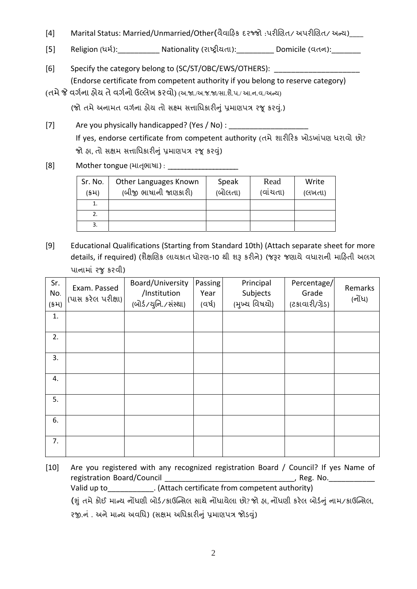- [4] Marital Status: Married/Unmarried/Other(વૈવાિહક દરજ્જો :પરીિણત/ અપરીિણત/ અન્ય)\_\_\_\_
- [5] Religion (ધર્મ):\_\_\_\_\_\_\_\_\_\_\_\_\_\_\_Nationality (રાષ્ટ્રીયતા):\_\_\_\_\_\_\_\_\_\_\_\_\_ Domicile (વતન):\_\_\_\_\_\_\_\_\_
- [6] Specify the category belong to (SC/ST/OBC/EWS/OTHERS): \_\_\_\_\_\_\_\_\_\_\_\_\_\_\_\_\_\_\_\_\_ (Endorse certificate from competent authority if you belong to reserve category)
- (તમે જે વર્ગના રીય તે વર્ગનો ઉલ્લેખ કરવો) (અ.જા./અ.જ.જા/સા.શૈ.પ./ આ.ન.વ./અન્ય)

(જો તમે અનામત વર્ગના ફોય તો સક્ષ્મ સત્તાધિકારીનું પ્રમાણપત્ર રજૂ કરવું.)

- [7] Are you physically handicapped? (Yes / No) : \_\_\_\_\_\_\_\_\_\_\_\_\_\_\_\_\_\_\_\_\_\_\_\_\_\_\_\_\_\_\_ If yes, endorse certificate from competent authority (તમે શારીરિક ખોડખાંપણ ધરાવો છો? જો હા, તો સક્ષમ સત્તાધિકારીનું પ્રમાણપત્ર રજૂ કરવું)
- [8] Mother tongue (માતૃભાષા) ։

| Sr. No.<br>(કમ) | Other Languages Known<br>(બીજી ભાષાની જાણકારી) | Speak<br>(બોલતા) | Read<br>(વાંચતા) | Write<br>(લખતા) |
|-----------------|------------------------------------------------|------------------|------------------|-----------------|
| 1.              |                                                |                  |                  |                 |
| 2.              |                                                |                  |                  |                 |
| 3.              |                                                |                  |                  |                 |

[9] Educational Qualifications (Starting from Standard 10th) (Attach separate sheet for more details, if required) (શૈક્ષણિક લાયકાત ધોરણ-10 થી શરૂ કરીને) (જરૂર જણાયે વધારાની માહિતી અલગ પાનામાં રજુકરવી)

| Sr.<br>No.<br>(54) | Exam. Passed<br>(પાસ કરેલ પરીક્ષા) | Board/University<br>/Institution<br>(બોર્ડ/યુનિ./સંસ્થા) | Passing<br>Year<br>(વર્ષ) | Principal<br>Subjects<br>(મુખ્ય વિષયો) | Percentage/<br>Grade<br>(ટકાવારી/ગ્રેડ) | Remarks<br>(નોંધ) |
|--------------------|------------------------------------|----------------------------------------------------------|---------------------------|----------------------------------------|-----------------------------------------|-------------------|
| 1.                 |                                    |                                                          |                           |                                        |                                         |                   |
| 2.                 |                                    |                                                          |                           |                                        |                                         |                   |
| 3.                 |                                    |                                                          |                           |                                        |                                         |                   |
| 4.                 |                                    |                                                          |                           |                                        |                                         |                   |
| 5.                 |                                    |                                                          |                           |                                        |                                         |                   |
| 6.                 |                                    |                                                          |                           |                                        |                                         |                   |
| 7.                 |                                    |                                                          |                           |                                        |                                         |                   |

[10] Are you registered with any recognized registration Board / Council? If yes Name of registration Board/Council and the contraction of the contraction of the contraction of the contraction of the c Valid up to Table 1. (Attach certificate from competent authority)

(શું તમેકોઈ માન્ય નҭધણી બોડર્/કાઉિન્સલ સાથેનҭધાયેલા છો? જો હા, નҭધણી કરેલ બોડર્નું નામ/કાઉિન્સલ,

રજી.નં . અને માન્ય અવધિ) (સક્ષમ અધિકારીનું પ્રમાણપત્ર જોડવું)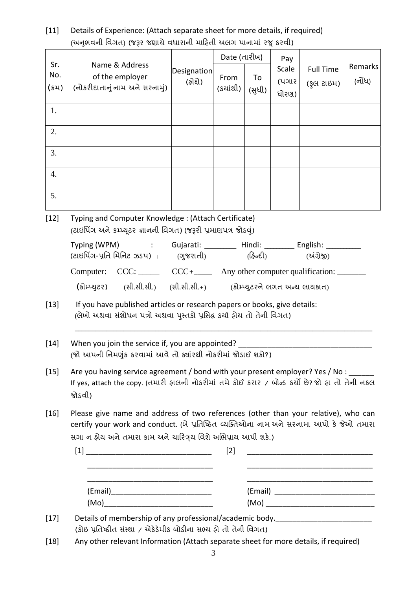| $[11]$ | Details of Experience: (Attach separate sheet for more details, if required) |
|--------|------------------------------------------------------------------------------|
|        | (અનુભવની વિગત) (જરૂર જણાયે વધારાની માહિતી અલગ પાનામાં રજૂ કરવી)              |

| Sr.<br>No.       | Name & Address<br>of the employer                                                                                                                                                                                                              | <b>Designation</b><br>(ફોદ્દો) | Date (તારીખ)<br>From | To     | Pay<br>Scale<br>(પગાર | <b>Full Time</b><br>(કુલ ટાઇમ) | Remarks<br>(નોંધ) |
|------------------|------------------------------------------------------------------------------------------------------------------------------------------------------------------------------------------------------------------------------------------------|--------------------------------|----------------------|--------|-----------------------|--------------------------------|-------------------|
| $(s)$ 4)         | (નોકરીદાતાનું નામ અને સરનામું)                                                                                                                                                                                                                 |                                | (કચાંથી)             | (સુધી) | ધોરણ)                 |                                |                   |
| 1.               |                                                                                                                                                                                                                                                |                                |                      |        |                       |                                |                   |
| 2.               |                                                                                                                                                                                                                                                |                                |                      |        |                       |                                |                   |
| 3.               |                                                                                                                                                                                                                                                |                                |                      |        |                       |                                |                   |
| $\overline{4}$ . |                                                                                                                                                                                                                                                |                                |                      |        |                       |                                |                   |
| 5.               |                                                                                                                                                                                                                                                |                                |                      |        |                       |                                |                   |
| $[12]$           | Typing and Computer Knowledge: (Attach Certificate)<br>(ટાઇપિંગ અને કમ્પ્યૂટર જ્ઞાનની વિગત) (જરૂરી પ્રમાણપત્ર જોડવું)                                                                                                                          |                                |                      |        |                       |                                |                   |
|                  | Typing (WPM) : Gujarati: _________ Hindi: _________ English: _________<br>(ટાઇપિંગ-પ્રતિ મિનિટ ઝડપ) : (ગુજરાતી) (હિન્દી) (અંગ્રેજી)                                                                                                            |                                |                      |        |                       |                                |                   |
|                  | Computer: CCC: ______ CCC + _____ Any other computer qualification: ______                                                                                                                                                                     |                                |                      |        |                       |                                |                   |
|                  | (કોમ્પ્યુટર) (સી.સી.સી.) (સી.સી.સી.+) (કોમ્પ્યુટરને લગત અન્ય લાયકાત)                                                                                                                                                                           |                                |                      |        |                       |                                |                   |
| $[13]$           | If you have published articles or research papers or books, give details:<br>(લેખો અથવા સંશોધન પત્રો અથવા પુસ્તકો પ્રસિદ્ઘ કર્યા હોય તો તેની વિગત)                                                                                             |                                |                      |        |                       |                                |                   |
| $[14]$           | When you join the service if, you are appointed?<br>(જો આપની નિમણુંક કરવામાં આવે તો ક્યાંરથી નોકરીમાં જોડાઈ શકો?)                                                                                                                              |                                |                      |        |                       |                                |                   |
| $[15]$           | Are you having service agreement / bond with your present employer? Yes / No : _____<br>If yes, attach the copy. (તમારી ફાલની નોકરીમાં તમે કોઈ કરાર / બોન્ડ કર્યો છે? જો ફા તો તેની નકલ<br>જોડવી)                                              |                                |                      |        |                       |                                |                   |
| $[16]$           | Please give name and address of two references (other than your relative), who can<br>certify your work and conduct. (બે પ્રતિષ્ઠિત વ્યક્તિઓના નામ અને સરનામા આપો કે જેઓ તમારા<br>સગા ન ફોય અને તમારા કામ અને ચારિત્રય વિશે અભિપ્રાય આપી શકે.) |                                |                      |        |                       |                                |                   |
|                  |                                                                                                                                                                                                                                                |                                | $[2]$                |        |                       |                                |                   |
|                  |                                                                                                                                                                                                                                                |                                |                      |        |                       |                                |                   |
|                  |                                                                                                                                                                                                                                                |                                |                      |        |                       |                                |                   |
|                  |                                                                                                                                                                                                                                                |                                |                      |        |                       |                                |                   |
| $[17]$           | Details of membership of any professional/academic body.<br>_______________________                                                                                                                                                            |                                |                      |        |                       |                                |                   |
|                  | (કોઇ પ્રતિષ્ઠીત સંસ્થા / એકેડેમીક બોડીના સભ્ય હો તો તેની વિગત)                                                                                                                                                                                 |                                |                      |        |                       |                                |                   |
| $[18]$           | Any other relevant Information (Attach separate sheet for more details, if required)                                                                                                                                                           |                                |                      |        |                       |                                |                   |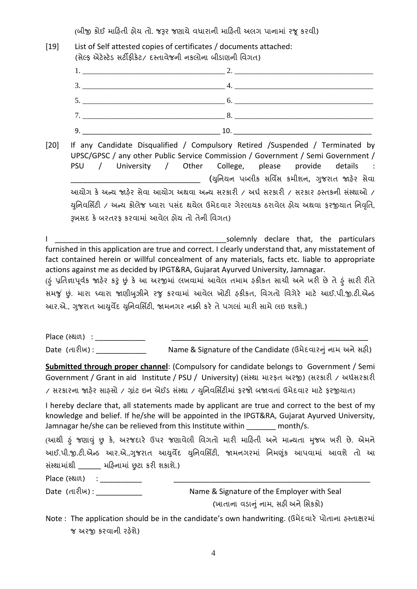(બીજી કોઈ માહિતી હોય તો. જરૂર જણાયે વધારાની માહિતી અલગ પાનામાં રજૂ કરવી)

## [19] List of Self attested copies of certificates / documents attached: (સેલ્ક એટેસ્ટેડ સર્ટીક્રીકેટ/ દસ્તાવેજની નકલોના બીડાણની વિગત)  $1.$  2.  $3.$   $4.$ 5. \_\_\_\_\_\_\_\_\_\_\_\_\_\_\_\_\_\_\_\_\_\_\_\_\_\_\_\_\_\_\_\_\_\_\_\_\_ 6. \_\_\_\_\_\_\_\_\_\_\_\_\_\_\_\_\_\_\_\_\_\_\_\_\_\_\_\_\_\_\_\_\_\_\_\_ 7. \_\_\_\_\_\_\_\_\_\_\_\_\_\_\_\_\_\_\_\_\_\_\_\_\_\_\_\_\_\_\_\_\_\_\_\_\_ 8. \_\_\_\_\_\_\_\_\_\_\_\_\_\_\_\_\_\_\_\_\_\_\_\_\_\_\_\_\_\_\_\_\_\_\_\_  $9.$   $10.$ [20] If any Candidate Disqualified / Compulsory Retired /Suspended / Terminated by UPSC/GPSC / any other Public Service Commission / Government / Semi Government / PSU / University / Other College, please provide details (યુનિયન પબ્લીક સર્વિસ કમીશન, ગુજરાત જાહેર સેવા આયોગ કે અન્ય જાહેર સેવા આયોગ અથવા અન્ય સરકારી / અર્ધ સરકારી / સરકાર હસ્તકની સંસ્થાઓ / યુનિવર્સિટી / અન્ય કોલેજ ઘ્વારા પસંદ થયેલ ઉમેદવાર ગેરલાયક ઠરાવેલ હોય અથવા કરજીયાત નિવૃતિ, Įખસદ કેબરતરફ કરવામાં આવેલ હોય તો તેની િવગત) I \_\_\_\_\_\_\_\_\_\_\_\_\_\_\_\_\_\_\_\_\_\_\_\_\_\_\_\_\_\_\_\_\_\_\_\_\_\_\_\_\_solemnly declare that, the particulars furnished in this application are true and correct. I clearly understand that, any misstatement of fact contained herein or willful concealment of any materials, facts etc. liable to appropriate actions against me as decided by IPGT&RA, Gujarat Ayurved University, Jamnagar. (ફં પ્રતિજ્ઞાપૂર્વક જાફેર કરું છું કે આ અરજીમાં લખવામાં આવેલ તમામ ફકીકત સાચી અને ખરી છે તે ફં સારી રીતે સમજું છું. મારા ઘ્વારા જાણીબુઝીને રજુ કરવામાં આવેલ ખોટી ફકીકત, વિગતો વિગેરે માટે આઈ.પી.જી.ટી.એન્ડ આર.એ., ગજરાત આયર્વેદ યનિવર્સિટી. જામનગર નક્કી કરે તે પગલાં મારી સામે લઇ શકશે.) Place (સ્થળ) : \_\_\_\_\_\_\_\_\_\_\_\_\_\_\_ Date (તારીખ) : \_\_\_\_\_\_\_\_\_\_\_\_ Name & Signature of the Candidate (ઉમેદવારનું નામ અનેસહી) **Submitted through proper channel**: (Compulsory for candidate belongs to Government / Semi Government / Grant in aid Institute / PSU / University) (સંસ્થ્યા મારફત અરજી) (સરકારી / અર્ધસરકારી / સરકારના જાહેર સાહસો / ગ્રાંટ ઇન એઈડ સંસ્થા / યુનિવર્સિટીમાં ફરજો બજાવતાં ઉમેદવાર માટે ફરજીયાત) I hereby declare that, all statements made by applicant are true and correct to the best of my knowledge and belief. If he/she will be appointed in the IPGT&RA, Gujarat Ayurved University, Jamnagar he/she can be relieved from this Institute within month/s. (આથી હું જણાવું છુ કે, અરજદારે ઉપર જણાવેલી વિગતો મારી માહિતી અને માન્યતા મુજબ ખરી છે. એમને આઈ.પી.જી.ટી.એન્ડ આર.એ.,ગુજરાત આયુર્વેદ યુનિવર્સિટી, જામનગરમાં નિમણુંક આપવામાં આવશે તો આ સંસ્થામાંથી \_\_\_\_\_\_ મહિનામાં છુટા કરી શકાશે.) Place (સ્થળ) : \_\_\_\_\_\_\_\_\_\_\_\_\_ Date (તારીખ) : \_\_\_\_\_\_\_\_\_\_\_ Name & Signature of the Employer with Seal (ખાતાના વડાનું નામ, સહી અનેિસકકો)

Note : The application should be in the candidate's own handwriting. (ઉમેદવારે પોતાના હસ્તાક્ષરમાં જ અરજી કરવાની રહેશે)